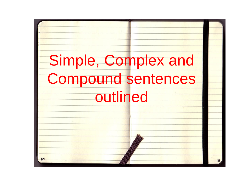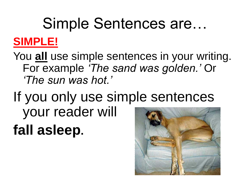# Simple Sentences are… **SIMPLE!**

You **all** use simple sentences in your writing. For example *'The sand was golden.'* Or *'The sun was hot.'* 

If you only use simple sentences your reader will **fall asleep.**

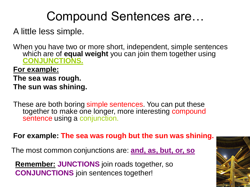# Compound Sentences are…

### A little less simple.

When you have two or more short, independent, simple sentences which are of **equal weight** you can join them together using **CONJUNCTIONS.**

### **For example:**

- **The sea was rough.**
- **The sun was shining.**

These are both boring simple sentences. You can put these together to make one longer, more interesting compound sentence using a conjunction.

**For example: The sea was rough but the sun was shining.**

The most common conjunctions are: **and, as, but, or, so**

**Remember: JUNCTIONS** join roads together, so **CONJUNCTIONS** join sentences together!

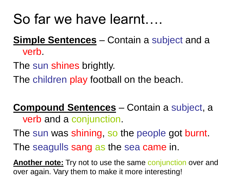# So far we have learnt….

## **Simple Sentences** – Contain a subject and a verb.

The sun shines brightly.

The children play football on the beach.

### **Compound Sentences** – Contain a subject, a verb and a conjunction.

The sun was shining, so the people got burnt.

The seagulls sang as the sea came in.

**Another note:** Try not to use the same conjunction over and over again. Vary them to make it more interesting!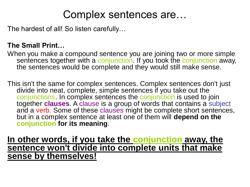## Complex sentences are…

The hardest of all! So listen carefully…

### **The Small Print…**

When you make a compound sentence you are joining two or more simple sentences together with a conjunction. If you took the conjunction away, the sentences would be complete and they would still make sense.

This isn't the same for complex sentences. Complex sentences don't just divide into neat, complete, simple sentences if you take out the conjunctions. In complex sentences the conjunction is used to join together **clauses**. A clause is a group of words that contains a subject and a verb. Some of these clauses might be complete short sentences, but in a complex sentence at least one of them will **depend on the conjunction for its meaning**.

**In other words, if you take the conjunction away, the sentence won't divide into complete units that make sense by themselves!**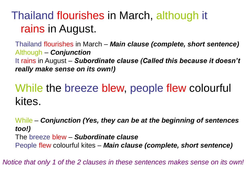## Thailand flourishes in March, although it rains in August.

Thailand flourishes in March – *Main clause (complete, short sentence)* Although – *Conjunction* It rains in August – *Subordinate clause (Called this because it doesn't really make sense on its own!)*

## While the breeze blew, people flew colourful kites.

While – *Conjunction (Yes, they can be at the beginning of sentences too!)* The breeze blew – *Subordinate clause* People flew colourful kites – *Main clause (complete, short sentence)*

*Notice that only 1 of the 2 clauses in these sentences makes sense on its own!*